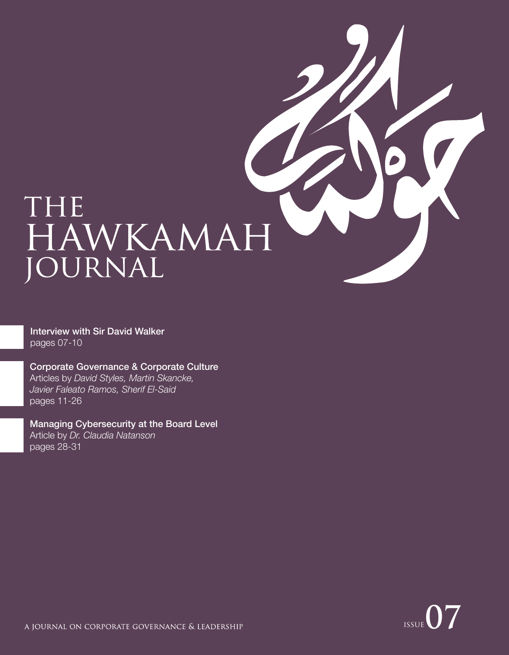

Interview with Sir David Walker pages 07-10

Corporate Governance & Corporate Culture

Articles by *David Styles, Martin Skancke, Javier Faleato Ramos, Sherif El-Said* pages 11-26

Managing Cybersecurity at the Board Level Article by *Dr. Claudia Natanson* pages 28-31

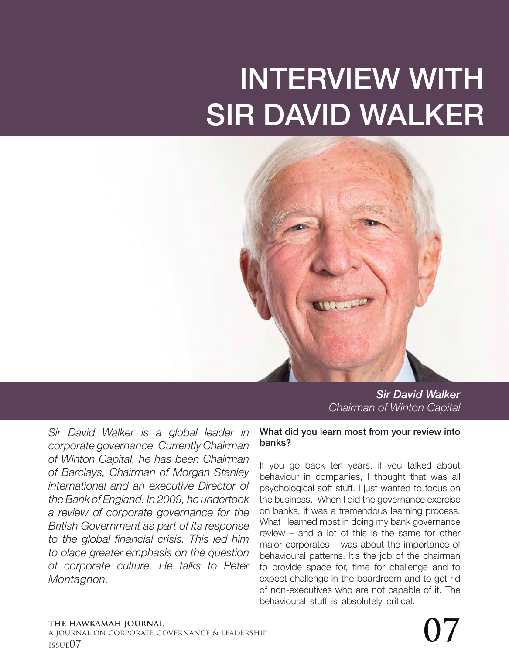# INTERVIEW WITH SIR DAVID WALKER



*Sir David Walker Chairman of Winton Capital*

*Sir David Walker is a global leader in corporate governance. Currently Chairman of Winton Capital, he has been Chairman of Barclays, Chairman of Morgan Stanley international and an executive Director of the Bank of England. In 2009, he undertook a review of corporate governance for the British Government as part of its response to the global financial crisis. This led him to place greater emphasis on the question of corporate culture. He talks to Peter Montagnon.*

#### What did you learn most from your review into banks?

If you go back ten years, if you talked about behaviour in companies, I thought that was all psychological soft stuff. I just wanted to focus on the business. When I did the governance exercise on banks, it was a tremendous learning process. What I learned most in doing my bank governance review – and a lot of this is the same for other major corporates – was about the importance of behavioural patterns. It's the job of the chairman to provide space for, time for challenge and to expect challenge in the boardroom and to get rid of non-executives who are not capable of it. The behavioural stuff is absolutely critical.

#### **the hawkamah journal**

a journal on corporate governance & leadership The hawkamah journal<br>a journal on corporate governance & leadership<br>issue07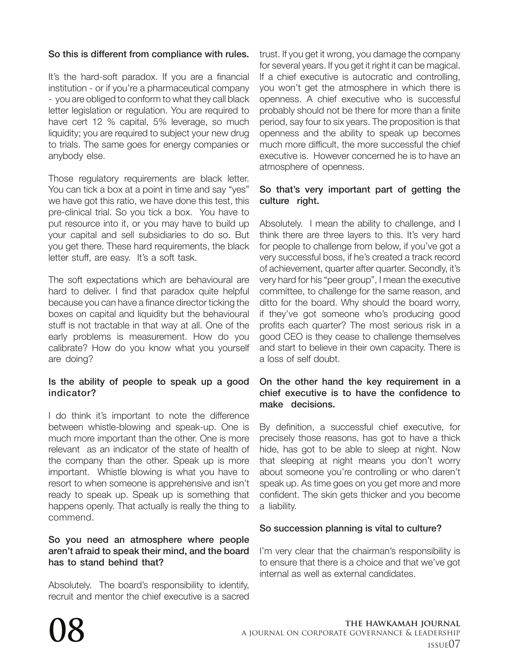# So this is different from compliance with rules.

It's the hard-soft paradox. If you are a financial institution - or if you're a pharmaceutical company - you are obliged to conform to what they call black letter legislation or regulation. You are required to have cert 12 % capital, 5% leverage, so much liquidity; you are required to subject your new drug to trials. The same goes for energy companies or anybody else.

Those regulatory requirements are black letter. You can tick a box at a point in time and say "yes" we have got this ratio, we have done this test, this pre-clinical trial. So you tick a box. You have to put resource into it, or you may have to build up your capital and sell subsidiaries to do so. But you get there. These hard requirements, the black letter stuff, are easy. It's a soft task.

The soft expectations which are behavioural are hard to deliver. I find that paradox quite helpful because you can have a finance director ticking the boxes on capital and liquidity but the behavioural stuff is not tractable in that way at all. One of the early problems is measurement. How do you calibrate? How do you know what you yourself are doing?

## Is the ability of people to speak up a good indicator?

I do think it's important to note the difference between whistle-blowing and speak-up. One is much more important than the other. One is more relevant as an indicator of the state of health of the company than the other. Speak up is more important. Whistle blowing is what you have to resort to when someone is apprehensive and isn't ready to speak up. Speak up is something that happens openly. That actually is really the thing to commend.

#### So you need an atmosphere where people aren't afraid to speak their mind, and the board has to stand behind that?

Absolutely. The board's responsibility to identify, recruit and mentor the chief executive is a sacred trust. If you get it wrong, you damage the company for several years. If you get it right it can be magical. If a chief executive is autocratic and controlling, you won't get the atmosphere in which there is openness. A chief executive who is successful probably should not be there for more than a finite period, say four to six years. The proposition is that openness and the ability to speak up becomes much more difficult, the more successful the chief executive is. However concerned he is to have an atmosphere of openness.

#### So that's very important part of getting the culture right.

Absolutely. I mean the ability to challenge, and I think there are three layers to this. It's very hard for people to challenge from below, if you've got a very successful boss, if he's created a track record of achievement, quarter after quarter. Secondly, it's very hard for his "peer group", I mean the executive committee, to challenge for the same reason, and ditto for the board. Why should the board worry, if they've got someone who's producing good profits each quarter? The most serious risk in a good CEO is they cease to challenge themselves and start to believe in their own capacity. There is a loss of self doubt.

#### On the other hand the key requirement in a chief executive is to have the confidence to make decisions.

By definition, a successful chief executive, for precisely those reasons, has got to have a thick hide, has got to be able to sleep at night. Now that sleeping at night means you don't worry about someone you're controlling or who daren't speak up. As time goes on you get more and more confident. The skin gets thicker and you become a liability.

## So succession planning is vital to culture?

I'm very clear that the chairman's responsibility is to ensure that there is a choice and that we've got internal as well as external candidates.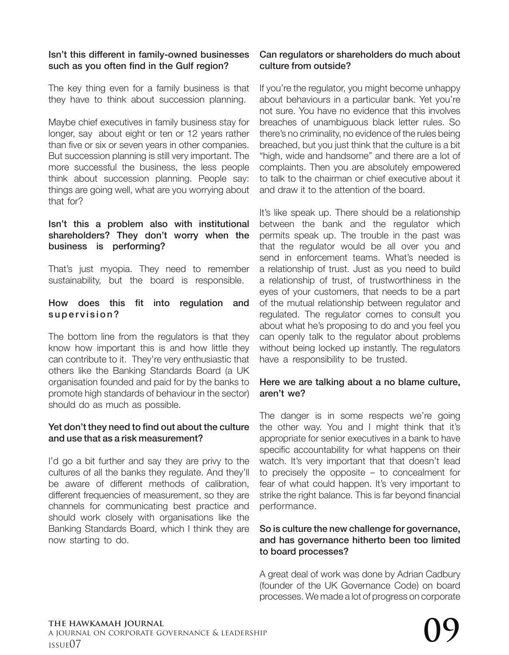## Isn't this different in family-owned businesses such as you often find in the Gulf region?

The key thing even for a family business is that they have to think about succession planning.

Maybe chief executives in family business stay for longer, say about eight or ten or 12 years rather than five or six or seven years in other companies. But succession planning is still very important. The more successful the business, the less people think about succession planning. People say: things are going well, what are you worrying about that for?

#### Isn't this a problem also with institutional shareholders? They don't worry when the business is performing?

That's just myopia. They need to remember sustainability, but the board is responsible.

#### How does this fit into regulation and supervision?

The bottom line from the regulators is that they know how important this is and how little they can contribute to it. They're very enthusiastic that others like the Banking Standards Board (a UK organisation founded and paid for by the banks to promote high standards of behaviour in the sector) should do as much as possible.

#### Yet don't they need to find out about the culture and use that as a risk measurement?

I'd go a bit further and say they are privy to the cultures of all the banks they regulate. And they'll be aware of different methods of calibration, different frequencies of measurement, so they are channels for communicating best practice and should work closely with organisations like the Banking Standards Board, which I think they are now starting to do.

## Can regulators or shareholders do much about culture from outside?

If you're the regulator, you might become unhappy about behaviours in a particular bank. Yet you're not sure. You have no evidence that this involves breaches of unambiguous black letter rules. So there's no criminality, no evidence of the rules being breached, but you just think that the culture is a bit "high, wide and handsome" and there are a lot of complaints. Then you are absolutely empowered to talk to the chairman or chief executive about it and draw it to the attention of the board.

It's like speak up. There should be a relationship between the bank and the regulator which permits speak up. The trouble in the past was that the regulator would be all over you and send in enforcement teams. What's needed is a relationship of trust. Just as you need to build a relationship of trust, of trustworthiness in the eyes of your customers, that needs to be a part of the mutual relationship between regulator and regulated. The regulator comes to consult you about what he's proposing to do and you feel you can openly talk to the regulator about problems without being locked up instantly. The regulators have a responsibility to be trusted.

#### Here we are talking about a no blame culture, aren't we?

The danger is in some respects we're going the other way. You and I might think that it's appropriate for senior executives in a bank to have specific accountability for what happens on their watch. It's very important that that doesn't lead to precisely the opposite – to concealment for fear of what could happen. It's very important to strike the right balance. This is far beyond financial performance.

#### So is culture the new challenge for governance, and has governance hitherto been too limited to board processes?

A great deal of work was done by Adrian Cadbury (founder of the UK Governance Code) on board processes. We made a lot of progress on corporate